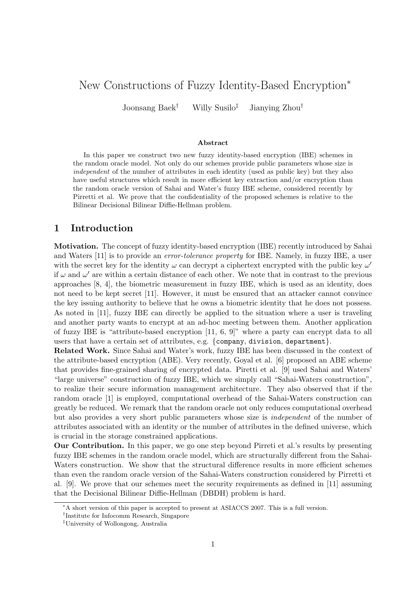# New Constructions of Fuzzy Identity-Based Encryption<sup>∗</sup>

Joonsang Baek† Willy Susilo‡ Jianying Zhou†

#### Abstract

In this paper we construct two new fuzzy identity-based encryption (IBE) schemes in the random oracle model. Not only do our schemes provide public parameters whose size is independent of the number of attributes in each identity (used as public key) but they also have useful structures which result in more efficient key extraction and/or encryption than the random oracle version of Sahai and Water's fuzzy IBE scheme, considered recently by Pirretti et al. We prove that the confidentiality of the proposed schemes is relative to the Bilinear Decisional Bilinear Diffie-Hellman problem.

## 1 Introduction

Motivation. The concept of fuzzy identity-based encryption (IBE) recently introduced by Sahai and Waters [11] is to provide an *error-tolerance property* for IBE. Namely, in fuzzy IBE, a user with the secret key for the identity  $\omega$  can decrypt a ciphertext encrypted with the public key  $\omega'$ if  $\omega$  and  $\omega'$  are within a certain distance of each other. We note that in contrast to the previous approaches [8, 4], the biometric measurement in fuzzy IBE, which is used as an identity, does not need to be kept secret [11]. However, it must be ensured that an attacker cannot convince the key issuing authority to believe that he owns a biometric identity that he does not possess. As noted in [11], fuzzy IBE can directly be applied to the situation where a user is traveling and another party wants to encrypt at an ad-hoc meeting between them. Another application of fuzzy IBE is "attribute-based encryption [11, 6, 9]" where a party can encrypt data to all users that have a certain set of attributes, e.g. {company, division, department}.

Related Work. Since Sahai and Water's work, fuzzy IBE has been discussed in the context of the attribute-based encryption (ABE). Very recently, Goyal et al. [6] proposed an ABE scheme that provides fine-grained sharing of encrypted data. Piretti et al. [9] used Sahai and Waters' "large universe" construction of fuzzy IBE, which we simply call "Sahai-Waters construction", to realize their secure information management architecture. They also observed that if the random oracle [1] is employed, computational overhead of the Sahai-Waters construction can greatly be reduced. We remark that the random oracle not only reduces computational overhead but also provides a very short public parameters whose size is independent of the number of attributes associated with an identity or the number of attributes in the defined universe, which is crucial in the storage constrained applications.

Our Contribution. In this paper, we go one step beyond Pirreti et al.'s results by presenting fuzzy IBE schemes in the random oracle model, which are structurally different from the Sahai-Waters construction. We show that the structural difference results in more efficient schemes than even the random oracle version of the Sahai-Waters construction considered by Pirretti et al. [9]. We prove that our schemes meet the security requirements as defined in [11] assuming that the Decisional Bilinear Diffie-Hellman (DBDH) problem is hard.

<sup>∗</sup>A short version of this paper is accepted to present at ASIACCS 2007. This is a full version.

<sup>†</sup> Institute for Infocomm Research, Singapore

<sup>‡</sup>University of Wollongong, Australia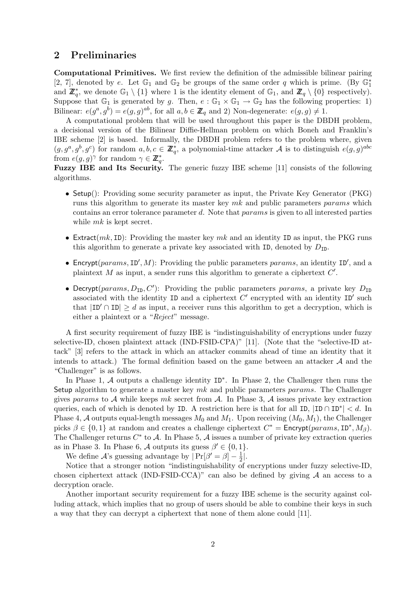## 2 Preliminaries

Computational Primitives. We first review the definition of the admissible bilinear pairing [2, 7], denoted by e. Let  $\mathbb{G}_1$  and  $\mathbb{G}_2$  be groups of the same order q which is prime. (By  $\mathbb{G}_1^*$ and  $\mathbb{Z}_q^*$ , we denote  $\mathbb{G}_1 \setminus \{1\}$  where 1 is the identity element of  $\mathbb{G}_1$ , and  $\mathbb{Z}_q \setminus \{0\}$  respectively). Suppose that  $\mathbb{G}_1$  is generated by g. Then,  $e : \mathbb{G}_1 \times \mathbb{G}_1 \to \mathbb{G}_2$  has the following properties: 1) Bilinear:  $e(g^a, g^b) = e(g, g)^{ab}$ , for all  $a, b \in \mathbb{Z}_q$  and 2) Non-degenerate:  $e(g, g) \neq 1$ .

A computational problem that will be used throughout this paper is the DBDH problem, a decisional version of the Bilinear Diffie-Hellman problem on which Boneh and Franklin's IBE scheme [2] is based. Informally, the DBDH problem refers to the problem where, given  $(g, g^a, g^b, g^c)$  for random  $a, b, c \in \mathbb{Z}_q^*$ , a polynomial-time attacker A is to distinguish  $e(g, g)^{abc}$ from  $e(g, g)^\gamma$  for random  $\gamma \in \mathbb{Z}_q^*$ .

Fuzzy IBE and Its Security. The generic fuzzy IBE scheme [11] consists of the following algorithms.

- Setup(): Providing some security parameter as input, the Private Key Generator (PKG) runs this algorithm to generate its master key mk and public parameters params which contains an error tolerance parameter d. Note that params is given to all interested parties while  $mk$  is kept secret.
- Extract $(mk, ID)$ : Providing the master key mk and an identity ID as input, the PKG runs this algorithm to generate a private key associated with ID, denoted by  $D_{\text{ID}}$ .
- Encrypt(params,  $ID', M$ ): Providing the public parameters params, an identity  $ID'$ , and a plaintext  $M$  as input, a sender runs this algorithm to generate a ciphertext  $C'$ .
- Decrypt(params,  $D_{ID}$ , C'): Providing the public parameters params, a private key  $D_{ID}$ associated with the identity ID and a ciphertext  $C'$  encrypted with an identity ID' such that  $|ID' \cap ID| \geq d$  as input, a receiver runs this algorithm to get a decryption, which is either a plaintext or a "Reject" message.

A first security requirement of fuzzy IBE is "indistinguishability of encryptions under fuzzy selective-ID, chosen plaintext attack (IND-FSID-CPA)" [11]. (Note that the "selective-ID attack" [3] refers to the attack in which an attacker commits ahead of time an identity that it intends to attack.) The formal definition based on the game between an attacker  $A$  and the "Challenger" is as follows.

In Phase 1, A outputs a challenge identity ID<sup>∗</sup> . In Phase 2, the Challenger then runs the Setup algorithm to generate a master key  $mk$  and public parameters params. The Challenger gives params to A while keeps mk secret from A. In Phase 3, A issues private key extraction queries, each of which is denoted by ID. A restriction here is that for all ID,  $|ID \cap ID^*| < d$ . In Phase 4, A outputs equal-length messages  $M_0$  and  $M_1$ . Upon receiving  $(M_0, M_1)$ , the Challenger picks  $\beta \in \{0, 1\}$  at random and creates a challenge ciphertext  $C^* =$  Encrypt $(params, ID^*, M_\beta)$ . The Challenger returns  $C^*$  to A. In Phase 5, A issues a number of private key extraction queries as in Phase 3. In Phase 6, A outputs its guess  $\beta' \in \{0, 1\}$ .

We define A's guessing advantage by  $|\Pr[\beta' = \beta] - \frac{1}{2}$  $\frac{1}{2}$ .

Notice that a stronger notion "indistinguishability of encryptions under fuzzy selective-ID, chosen ciphertext attack (IND-FSID-CCA)" can also be defined by giving  $A$  an access to a decryption oracle.

Another important security requirement for a fuzzy IBE scheme is the security against colluding attack, which implies that no group of users should be able to combine their keys in such a way that they can decrypt a ciphertext that none of them alone could [11].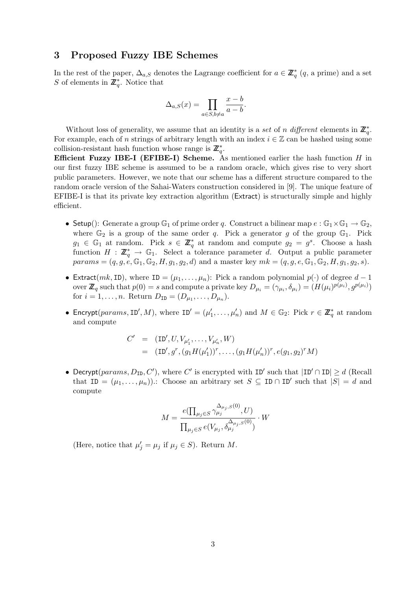### 3 Proposed Fuzzy IBE Schemes

In the rest of the paper,  $\Delta_{a,S}$  denotes the Lagrange coefficient for  $a \in \mathbb{Z}_q^*$   $(q, a \text{ prime})$  and a set S of elements in  $\mathbb{Z}_q^*$ . Notice that

$$
\Delta_{a,S}(x) = \prod_{a \in S, b \neq a} \frac{x - b}{a - b}.
$$

Without loss of generality, we assume that an identity is a set of n different elements in  $\mathbb{Z}_q^*$ . For example, each of n strings of arbitrary length with an index  $i \in \mathbb{Z}$  can be hashed using some collision-resistant hash function whose range is  $\mathbb{Z}_q^*$ .

**Efficient Fuzzy IBE-I (EFIBE-I) Scheme.** As mentioned earlier the hash function  $H$  in our first fuzzy IBE scheme is assumed to be a random oracle, which gives rise to very short public parameters. However, we note that our scheme has a different structure compared to the random oracle version of the Sahai-Waters construction considered in [9]. The unique feature of EFIBE-I is that its private key extraction algorithm (Extract) is structurally simple and highly efficient.

- Setup(): Generate a group  $\mathbb{G}_1$  of prime order q. Construct a bilinear map  $e : \mathbb{G}_1 \times \mathbb{G}_1 \to \mathbb{G}_2$ , where  $\mathbb{G}_2$  is a group of the same order q. Pick a generator g of the group  $\mathbb{G}_1$ . Pick  $g_1 \in \mathbb{G}_1$  at random. Pick  $s \in \mathbb{Z}_q^*$  at random and compute  $g_2 = g^s$ . Choose a hash function  $H : \mathbb{Z}_q^* \to \mathbb{G}_1$ . Select a tolerance parameter d. Output a public parameter  $params = (q, g, e, \mathbb{G}_1, \mathbb{G}_2, H, g_1, g_2, d)$  and a master key  $mk = (q, g, e, \mathbb{G}_1, \mathbb{G}_2, H, g_1, g_2, s).$
- Extract(mk, ID), where ID =  $(\mu_1, \ldots, \mu_n)$ : Pick a random polynomial  $p(\cdot)$  of degree  $d-1$ over  $\mathbb{Z}_q$  such that  $p(0) = s$  and compute a private key  $D_{\mu_i} = (\gamma_{\mu_i}, \delta_{\mu_i}) = (H(\mu_i)^{p(\mu_i)}, g^{p(\mu_i)})$ for  $i = 1, ..., n$ . Return  $D_{ID} = (D_{\mu_1}, ..., D_{\mu_n})$ .
- Encrypt(params, ID', M), where  $ID' = (\mu'_1, \ldots, \mu'_n)$  and  $M \in \mathbb{G}_2$ : Pick  $r \in \mathbb{Z}_q^*$  at random and compute

$$
C' = (\text{ID}', U, V_{\mu'_1}, \dots, V_{\mu'_n}, W)
$$
  
= (\text{ID}', g^r, (g\_1 H(\mu'\_1))^r, \dots, (g\_1 H(\mu'\_n))^r, e(g\_1, g\_2)^r M)

• Decrypt(params,  $D_{ID}$ , C'), where C' is encrypted with ID' such that  $|ID' \cap ID| \ge d$  (Recall that  $ID = (\mu_1, ..., \mu_n)$ : Choose an arbitrary set  $S \subseteq ID \cap ID'$  such that  $|S| = d$  and compute

$$
M=\frac{e(\prod_{\mu_j\in S}\gamma_{\mu_j}^{\Delta_{\mu_j,S}(0)},U)}{\prod_{\mu_j\in S}e(V_{\mu_j},\delta_{\mu_j}^{\Delta_{\mu_j,S}(0)})}\cdot W
$$

(Here, notice that  $\mu'_j = \mu_j$  if  $\mu_j \in S$ ). Return M.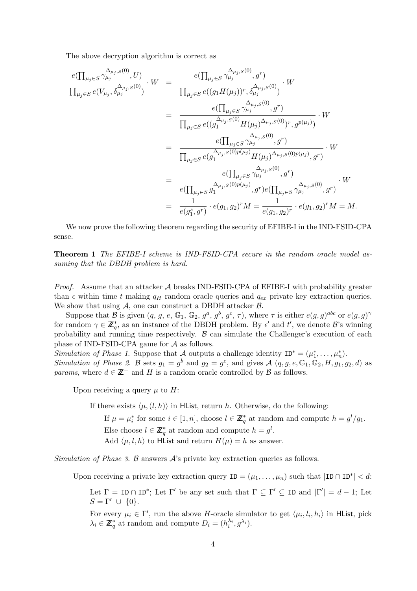The above decryption algorithm is correct as

$$
\frac{e(\prod_{\mu_{j}\in S}\gamma_{\mu_{j}}^{\Delta_{\mu_{j},S}(0)},U)}{\prod_{\mu_{j}\in S}e(V_{\mu_{j}},\delta_{\mu_{j}}^{\Delta_{\mu_{j},S}(0)})}\cdot W = \frac{e(\prod_{\mu_{j}\in S}\gamma_{\mu_{j}}^{\Delta_{\mu_{j},S}(0)},g^{r})}{\prod_{\mu_{j}\in S}e((g_{1}H(\mu_{j}))^{r},\delta_{\mu_{j}}^{\Delta_{\mu_{j},S}(0)},g^{r})} \cdot W
$$
\n
$$
= \frac{e(\prod_{\mu_{j}\in S}\gamma_{\mu_{j}}^{\Delta_{\mu_{j},S}(0)},g^{r})}{\prod_{\mu_{j}\in S}e((g_{1}^{\Delta_{\mu_{j},S}(0)}H(\mu_{j})^{\Delta_{\mu_{j},S}(0)})^{r},g^{p(\mu_{j})})}\cdot W
$$
\n
$$
= \frac{e(\prod_{\mu_{j}\in S}\gamma_{\mu_{j}}^{\Delta_{\mu_{j},S}(0)},g^{r})}{\prod_{\mu_{j}\in S}e(g_{1}^{\Delta_{\mu_{j},S}(0)p(\mu_{j})}H(\mu_{j})^{\Delta_{\mu_{j},S}(0)p(\mu_{j})},g^{r})}\cdot W
$$
\n
$$
= \frac{e(\prod_{\mu_{j}\in S}\gamma_{\mu_{j}}^{\Delta_{\mu_{j},S}(0)}g^{r})}{e(\prod_{\mu_{j}\in S}g_{1}^{\Delta_{\mu_{j},S}(0)p(\mu_{j})},g^{r})e(\prod_{\mu_{j}\in S}\gamma_{\mu_{j}}^{\Delta_{\mu_{j},S}(0)},g^{r})}\cdot W
$$
\n
$$
= \frac{1}{e(g_{1}^{s},g^{r})}\cdot e(g_{1},g_{2})^{r}M = \frac{1}{e(g_{1},g_{2})^{r}}\cdot e(g_{1},g_{2})^{r}M = M.
$$

We now prove the following theorem regarding the security of EFIBE-I in the IND-FSID-CPA sense.

Theorem 1 The EFIBE-I scheme is IND-FSID-CPA secure in the random oracle model assuming that the DBDH problem is hard.

*Proof.* Assume that an attacker  $\mathcal A$  breaks IND-FSID-CPA of EFIBE-I with probability greater than  $\epsilon$  within time t making  $q_H$  random oracle queries and  $q_{ex}$  private key extraction queries. We show that using  $A$ , one can construct a DBDH attacker  $B$ .

Suppose that B is given  $(q, g, e, \mathbb{G}_1, \mathbb{G}_2, g^a, g^b, g^c, \tau)$ , where  $\tau$  is either  $e(g, g)^{abc}$  or  $e(g, g)^\gamma$ for random  $\gamma \in \mathbb{Z}_q^*$ , as an instance of the DBDH problem. By  $\epsilon'$  and  $t'$ , we denote  $\mathcal{B}$ 's winning probability and running time respectively.  $\beta$  can simulate the Challenger's execution of each phase of IND-FSID-CPA game for A as follows.

Simulation of Phase 1. Suppose that A outputs a challenge identity  $ID^* = (\mu_1^*, \ldots, \mu_n^*)$ . Simulation of Phase 2. B sets  $g_1 = g^b$  and  $g_2 = g^c$ , and gives  $\mathcal{A}$   $(q, g, e, \mathbb{G}_1, \mathbb{G}_2, H, g_1, g_2, d)$  as *params*, where  $d \in \mathbb{Z}^+$  and H is a random oracle controlled by B as follows.

Upon receiving a query  $\mu$  to H:

If there exists  $\langle \mu, (l, h) \rangle$  in HList, return h. Otherwise, do the following:

If  $\mu = \mu_i^*$  for some  $i \in [1, n]$ , choose  $l \in \mathbb{Z}_q^*$  at random and compute  $h = g^l/g_1$ . Else choose  $l \in \mathbb{Z}_q^*$  at random and compute  $h = g^l$ . Add  $\langle \mu, l, h \rangle$  to HList and return  $H(\mu) = h$  as answer.

Simulation of Phase 3. B answers  $\mathcal{A}$ 's private key extraction queries as follows.

Upon receiving a private key extraction query  $ID = (\mu_1, \ldots, \mu_n)$  such that  $|ID \cap ID^*| < d$ :

Let  $\Gamma = \text{ID} \cap \text{ID}^*$ ; Let  $\Gamma'$  be any set such that  $\Gamma \subseteq \Gamma' \subseteq \text{ID}$  and  $|\Gamma'| = d - 1$ ; Let  $S = \Gamma' \cup \{0\}.$ 

For every  $\mu_i \in \Gamma'$ , run the above H-oracle simulator to get  $\langle \mu_i, l_i, h_i \rangle$  in HList, pick  $\lambda_i \in \mathbb{Z}_q^*$  at random and compute  $D_i = (h_i^{\lambda_i}, g^{\lambda_i}).$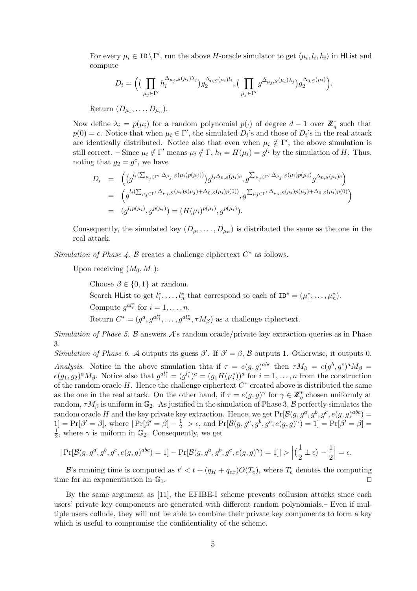For every  $\mu_i \in \text{ID} \backslash \Gamma'$ , run the above H-oracle simulator to get  $\langle \mu_i, l_i, h_i \rangle$  in HList and compute

$$
D_i = \Big( \big( \prod_{\mu_j \in \Gamma'} h_i^{\Delta_{\mu_j, S}(\mu_i) \lambda_j} \big) g_2^{\Delta_{0, S}(\mu_i) l_i}, \big( \prod_{\mu_j \in \Gamma'} g^{\Delta_{\mu_j, S}(\mu_i) \lambda_j} \big) g_2^{\Delta_{0, S}(\mu_i)} \Big).
$$

Return  $(D_{\mu_1}, \ldots, D_{\mu_n}).$ 

Now define  $\lambda_i = p(\mu_i)$  for a random polynomial  $p(\cdot)$  of degree  $d-1$  over  $\mathbb{Z}_q^*$  such that  $p(0) = c$ . Notice that when  $\mu_i \in \Gamma'$ , the simulated  $D_i$ 's and those of  $D_i$ 's in the real attack are identically distributed. Notice also that even when  $\mu_i \notin \Gamma'$ , the above simulation is still correct. – Since  $\mu_i \notin \Gamma'$  means  $\mu_i \notin \Gamma$ ,  $h_i = H(\mu_i) = g^{l_i}$  by the simulation of H. Thus, noting that  $g_2 = g^c$ , we have

$$
D_i = \left( (g^{l_i(\sum_{\mu_j \in \Gamma'} \Delta_{\mu_j, S}(\mu_i)p(\mu_j))}) g^{l_i\Delta_{0, S}(\mu_i)c}, g^{\sum_{\mu_j \in \Gamma'} \Delta_{\mu_j, S}(\mu_i)p(\mu_j)} g^{\Delta_{0, S}(\mu_i)c} \right)
$$
  
\n
$$
= \left( g^{l_i(\sum_{\mu_j \in \Gamma'} \Delta_{\mu_j, S}(\mu_i)p(\mu_j) + \Delta_{0, S}(\mu_i)p(0))}, g^{\sum_{\mu_j \in \Gamma'} \Delta_{\mu_j, S}(\mu_i)p(\mu_j) + \Delta_{0, S}(\mu_i)p(0)} \right)
$$
  
\n
$$
= (g^{l_i p(\mu_i)}, g^{p(\mu_i)}) = (H(\mu_i)^{p(\mu_i)}, g^{p(\mu_i)}).
$$

Consequently, the simulated key  $(D_{\mu_1},...,D_{\mu_n})$  is distributed the same as the one in the real attack.

Simulation of Phase  $\lambda$ . B creates a challenge ciphertext  $C^*$  as follows.

Upon receiving  $(M_0, M_1)$ :

Choose  $\beta \in \{0,1\}$  at random. Search HList to get  $l_1^*, \ldots, l_n^*$  that correspond to each of  $ID^* = (\mu_1^*, \ldots, \mu_n^*)$ . Compute  $g^{al_i^*}$  for  $i = 1, \ldots, n$ . Return  $C^* = (g^a, g^{al_1^*}, \ldots, g^{al_n^*}, \tau M_\beta)$  as a challenge ciphertext.

Simulation of Phase 5. B answers  $\mathcal{A}$ 's random oracle/private key extraction queries as in Phase 3.

Simulation of Phase 6. A outputs its guess  $\beta'$ . If  $\beta' = \beta$ , B outputs 1. Otherwise, it outputs 0. Analysis. Notice in the above simulation thta if  $\tau = e(g, g)^{abc}$  then  $\tau M_\beta = e(g^b, g^c)^a M_\beta =$  $e(g_1, g_2)^a M_\beta$ . Notice also that  $g^{al_i^*} = (g^{l_i^*})^a = (g_1 H(\mu_i^*))^a$  for  $i = 1, \ldots, n$  from the construction of the random oracle  $H$ . Hence the challenge ciphertext  $C^*$  created above is distributed the same as the one in the real attack. On the other hand, if  $\tau = e(g, g)^\gamma$  for  $\gamma \in \mathbb{Z}_q^*$  chosen uniformly at random,  $\tau M_\beta$  is uniform in  $\mathbb{G}_2$ . As justified in the simulation of Phase 3,  $\beta$  perfectly simulates the random oracle H and the key private key extraction. Hence, we get  $Pr[\mathcal{B}(g, g^a, g^b, g^c, e(g, g)^{abc})]$  $1] = Pr[\beta' = \beta],$  where  $|Pr[\beta' = \beta] - \frac{1}{2}$  $\frac{1}{2}$  | >  $\epsilon$ , and  $\Pr[\mathcal{B}(g, g^a, g^b, g^c, e(g, g)^\gamma) = 1] = \Pr[\beta' = \beta] =$ 1  $\frac{1}{2}$ , where  $\gamma$  is uniform in  $\mathbb{G}_2$ . Consequently, we get

$$
|\Pr[\mathcal{B}(g,g^a,g^b,g^c,e(g,g)^{abc})=1]-\Pr[\mathcal{B}(g,g^a,g^b,g^c,e(g,g)^{\gamma})=1]|>\Big|\big(\frac{1}{2}\pm\epsilon\big)-\frac{1}{2}\Big|=\epsilon.
$$

B's running time is computed as  $t' < t + (q_H + q_{ex})O(T_e)$ , where  $T_e$  denotes the computing time for an exponentiation in  $\mathbb{G}_1$ .

By the same argument as [11], the EFIBE-I scheme prevents collusion attacks since each users' private key components are generated with different random polynomials.– Even if multiple users collude, they will not be able to combine their private key components to form a key which is useful to compromise the confidentiality of the scheme.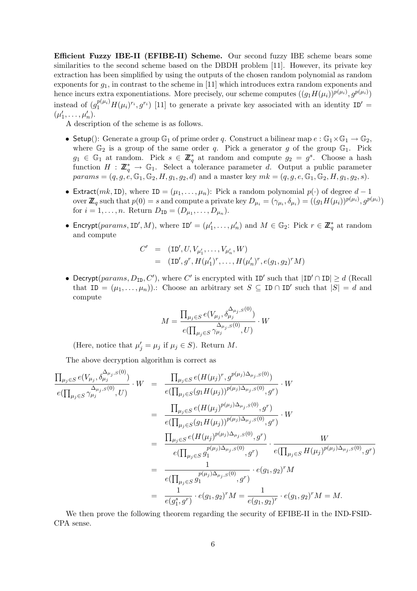Efficient Fuzzy IBE-II (EFIBE-II) Scheme. Our second fuzzy IBE scheme bears some similarities to the second scheme based on the DBDH problem [11]. However, its private key extraction has been simplified by using the outputs of the chosen random polynomial as random exponents for  $g_1$ , in contrast to the scheme in [11] which introduces extra random exponents and hence incurs extra exponentiations. More precisely, our scheme computes  $((g_1H(\mu_i))^{p(\mu_i)}, g^{p(\mu_i)})$ instead of  $(g_1^{p(\mu_i)}H(\mu_i)^{r_i}, g^{r_i})$  [11] to generate a private key associated with an identity ID<sup>'</sup> =  $(\mu'_1, \ldots, \mu'_n).$ 

A description of the scheme is as follows.

- Setup(): Generate a group  $\mathbb{G}_1$  of prime order q. Construct a bilinear map  $e : \mathbb{G}_1 \times \mathbb{G}_1 \to \mathbb{G}_2$ , where  $\mathbb{G}_2$  is a group of the same order q. Pick a generator g of the group  $\mathbb{G}_1$ . Pick  $g_1 \in \mathbb{G}_1$  at random. Pick  $s \in \mathbb{Z}_q^*$  at random and compute  $g_2 = g^s$ . Choose a hash function  $H : \mathbb{Z}_q^* \to \mathbb{G}_1$ . Select a tolerance parameter d. Output a public parameter  $params = (q, g, e, \mathbb{G}_1, \mathbb{G}_2, H, g_1, g_2, d)$  and a master key  $mk = (q, g, e, \mathbb{G}_1, \mathbb{G}_2, H, g_1, g_2, s).$
- Extract(mk, ID), where ID =  $(\mu_1, \ldots, \mu_n)$ : Pick a random polynomial  $p(\cdot)$  of degree  $d-1$ over  $\mathbb{Z}_q$  such that  $p(0) = s$  and compute a private key  $D_{\mu_i} = (\gamma_{\mu_i}, \delta_{\mu_i}) = ((g_1 H(\mu_i))^{p(\mu_i)}, g^{p(\mu_i)})$ for  $i = 1, ..., n$ . Return  $D_{ID} = (D_{\mu_1}, ..., D_{\mu_n})$ .
- Encrypt(params, ID', M), where  $ID' = (\mu'_1, \ldots, \mu'_n)$  and  $M \in \mathbb{G}_2$ : Pick  $r \in \mathbb{Z}_q^*$  at random and compute

$$
C' = (\text{ID}', U, V_{\mu'_1}, \dots, V_{\mu'_n}, W)
$$
  
= (\text{ID}', g^r, H(\mu'\_1)^r, \dots, H(\mu'\_n)^r, e(g\_1, g\_2)^r M)

• Decrypt(params,  $D_{ID}$ , C'), where C' is encrypted with ID' such that  $|ID' \cap ID| \ge d$  (Recall that  $ID = (\mu_1, ..., \mu_n)$ : Choose an arbitrary set  $S \subseteq ID \cap ID'$  such that  $|S| = d$  and compute

$$
M = \frac{\prod_{\mu_j \in S} e(V_{\mu_j}, \delta^{\Delta_{\mu_j}, S(0)}_{\mu_j})}{e(\prod_{\mu_j \in S} \gamma_{\mu_j}^{\Delta_{\mu_j}, S(0)}, U)} \cdot W
$$

(Here, notice that  $\mu'_j = \mu_j$  if  $\mu_j \in S$ ). Return M.

The above decryption algorithm is correct as

$$
\frac{\prod_{\mu_j \in S} e(V_{\mu_j}, \delta^{\Delta_{\mu_j}, S(0)}_{\mu_j})}{e(\prod_{\mu_j \in S} \gamma_{\mu_j}, S(0)}, U) \cdot W = \frac{\prod_{\mu_j \in S} e(H(\mu_j)^r, g^{p(\mu_j) \Delta_{\mu_j}, S(0)})}{e(\prod_{\mu_j \in S} (g_1 H(\mu_j))^{p(\mu_j) \Delta_{\mu_j}, S(0)}, g^r)} \cdot W
$$
\n
$$
= \frac{\prod_{\mu_j \in S} e(H(\mu_j)^{p(\mu_j) \Delta_{\mu_j}, S(0)}, g^r)}{e(\prod_{\mu_j \in S} (g_1 H(\mu_j))^{p(\mu_j) \Delta_{\mu_j}, S(0)}, g^r)} \cdot W
$$
\n
$$
= \frac{\prod_{\mu_j \in S} e(H(\mu_j)^{p(\mu_j) \Delta_{\mu_j}, S(0)}, g^r)}{e(\prod_{\mu_j \in S} g_1^{p(\mu_j) \Delta_{\mu_j}, S(0)}, g^r)} \cdot \frac{W}{e(\prod_{\mu_j \in S} H(\mu_j)^{p(\mu_j) \Delta_{\mu_j}, S(0)}, g^r)}
$$
\n
$$
= \frac{1}{e(\prod_{\mu_j \in S} g_1^{p(\mu_j) \Delta_{\mu_j}, S(0)}, g^r)} \cdot e(g_1, g_2)^r M
$$
\n
$$
= \frac{1}{e(g_1^s, g^r)} \cdot e(g_1, g_2)^r M = \frac{1}{e(g_1, g_2)^r} \cdot e(g_1, g_2)^r M = M.
$$

We then prove the following theorem regarding the security of EFIBE-II in the IND-FSID-CPA sense.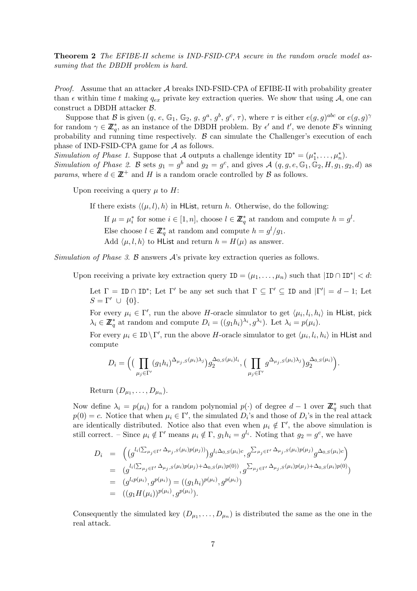Theorem 2 The EFIBE-II scheme is IND-FSID-CPA secure in the random oracle model assuming that the DBDH problem is hard.

*Proof.* Assume that an attacker  $\mathcal A$  breaks IND-FSID-CPA of EFIBE-II with probability greater than  $\epsilon$  within time t making  $q_{ex}$  private key extraction queries. We show that using A, one can construct a DBDH attacker B.

Suppose that B is given  $(q, e, \mathbb{G}_1, \mathbb{G}_2, g, g^a, g^b, g^c, \tau)$ , where  $\tau$  is either  $e(g, g)^{abc}$  or  $e(g, g)^\gamma$ for random  $\gamma \in \mathbb{Z}_{q}^{*}$ , as an instance of the DBDH problem. By  $\epsilon'$  and  $t'$ , we denote  $\mathcal{B}'$ 's winning probability and running time respectively.  $\beta$  can simulate the Challenger's execution of each phase of IND-FSID-CPA game for A as follows.

Simulation of Phase 1. Suppose that A outputs a challenge identity  $ID^* = (\mu_1^*, \ldots, \mu_n^*)$ . Simulation of Phase 2. B sets  $g_1 = g^b$  and  $g_2 = g^c$ , and gives  $\mathcal{A}$   $(q, g, e, \mathbb{G}_1, \mathbb{G}_2, H, g_1, g_2, d)$  as *params*, where  $d \in \mathbb{Z}^+$  and H is a random oracle controlled by B as follows.

Upon receiving a query  $\mu$  to H:

If there exists  $\langle (\mu, l), h \rangle$  in HList, return h. Otherwise, do the following:

If  $\mu = \mu_i^*$  for some  $i \in [1, n]$ , choose  $l \in \mathbb{Z}_q^*$  at random and compute  $h = g^l$ . Else choose  $l \in \mathbb{Z}_q^*$  at random and compute  $h = g^l/g_1$ . Add  $\langle \mu, l, h \rangle$  to HList and return  $h = H(\mu)$  as answer.

Simulation of Phase 3. B answers  $\mathcal{A}$ 's private key extraction queries as follows.

Upon receiving a private key extraction query  $ID = (\mu_1, ..., \mu_n)$  such that  $|ID \cap ID^*| < d$ :

Let  $\Gamma = \text{ID} \cap \text{ID}^*$ ; Let  $\Gamma'$  be any set such that  $\Gamma \subseteq \Gamma' \subseteq \text{ID}$  and  $|\Gamma'| = d - 1$ ; Let  $S = \Gamma' \cup \{0\}.$ 

For every  $\mu_i \in \Gamma'$ , run the above H-oracle simulator to get  $\langle \mu_i, l_i, h_i \rangle$  in HList, pick  $\lambda_i \in \mathbb{Z}_q^*$  at random and compute  $D_i = ((g_1 h_i)^{\lambda_i}, g^{\lambda_i})$ . Let  $\lambda_i = p(\mu_i)$ .

For every  $\mu_i \in \text{ID} \backslash \Gamma'$ , run the above H-oracle simulator to get  $\langle \mu_i, l_i, h_i \rangle$  in HList and compute

$$
D_i = \Big( \big( \prod_{\mu_j \in \Gamma'} (g_1 h_i)^{\Delta_{\mu_j, S}(\mu_i) \lambda_j} \big) g_2^{\Delta_{0, S}(\mu_i) l_i}, \big( \prod_{\mu_j \in \Gamma'} g^{\Delta_{\mu_j, S}(\mu_i) \lambda_j} \big) g_2^{\Delta_{0, S}(\mu_i)} \Big).
$$

Return  $(D_{\mu_1}, \ldots, D_{\mu_n}).$ 

Now define  $\lambda_i = p(\mu_i)$  for a random polynomial  $p(\cdot)$  of degree  $d-1$  over  $\mathbb{Z}_q^*$  such that  $p(0) = c$ . Notice that when  $\mu_i \in \Gamma'$ , the simulated  $D_i$ 's and those of  $D_i$ 's in the real attack are identically distributed. Notice also that even when  $\mu_i \notin \Gamma'$ , the above simulation is still correct. – Since  $\mu_i \notin \Gamma'$  means  $\mu_i \notin \Gamma$ ,  $g_1 h_i = g^{l_i}$ . Noting that  $g_2 = g^c$ , we have

$$
D_i = \left( \left( g^{l_i(\sum_{\mu_j \in \Gamma'} \Delta_{\mu_j, S}(\mu_i)p(\mu_j))} \right) g^{l_i\Delta_{0,S}(\mu_i)c}, g^{\sum_{\mu_j \in \Gamma'} \Delta_{\mu_j, S}(\mu_i)p(\mu_j)} g^{\Delta_{0,S}(\mu_i)c} \right) = \left( g^{l_i(\sum_{\mu_j \in \Gamma'} \Delta_{\mu_j, S}(\mu_i)p(\mu_j) + \Delta_{0,S}(\mu_i)p(0))}, g^{\sum_{\mu_j \in \Gamma'} \Delta_{\mu_j, S}(\mu_i)p(\mu_j) + \Delta_{0,S}(\mu_i)p(0)} \right) = \left( g^{l_i p(\mu_i)}, g^{p(\mu_i)} \right) = \left( \left( g_1 h_i \right)^{p(\mu_i)}, g^{p(\mu_i)} \right) = \left( \left( g_1 H(\mu_i) \right)^{p(\mu_i)}, g^{p(\mu_i)} \right).
$$

Consequently the simulated key  $(D_{\mu_1},...,D_{\mu_n})$  is distributed the same as the one in the real attack.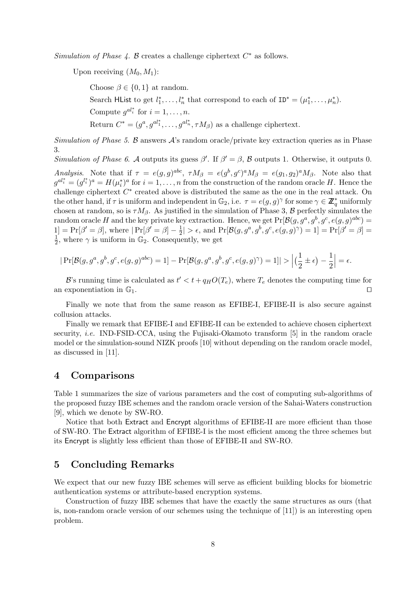Simulation of Phase  $\lambda$ . B creates a challenge ciphertext  $C^*$  as follows.

Upon receiving  $(M_0, M_1)$ :

Choose  $\beta \in \{0,1\}$  at random. Search HList to get  $l_1^*, \ldots, l_n^*$  that correspond to each of  $ID^* = (\mu_1^*, \ldots, \mu_n^*)$ . Compute  $g^{al_i^*}$  for  $i = 1, \ldots, n$ . Return  $C^* = (g^a, g^{al_1^*}, \ldots, g^{al_n^*}, \tau M_\beta)$  as a challenge ciphertext.

Simulation of Phase 5. B answers  $\mathcal{A}$ 's random oracle/private key extraction queries as in Phase 3.

Simulation of Phase 6. A outputs its guess  $\beta'$ . If  $\beta' = \beta$ , B outputs 1. Otherwise, it outputs 0.

Analysis. Note that if  $\tau = e(g, g)^{abc}$ ,  $\tau M_{\beta} = e(g^b, g^c)^a M_{\beta} = e(g_1, g_2)^a M_{\beta}$ . Note also that  $g^{al_i^*} = (g^{l_i^*})^a = H(\mu_i^*)^a$  for  $i = 1, \ldots, n$  from the construction of the random oracle H. Hence the challenge ciphertext  $C^*$  created above is distributed the same as the one in the real attack. On the other hand, if  $\tau$  is uniform and independent in  $\mathbb{G}_2$ , i.e.  $\tau = e(g, g)^\gamma$  for some  $\gamma \in \mathbb{Z}_q^*$  uniformly chosen at random, so is  $\tau M_\beta$ . As justified in the simulation of Phase 3, B perfectly simulates the random oracle H and the key private key extraction. Hence, we get  $Pr[\mathcal{B}(g, g^a, g^b, g^c, e(g, g)^{abc}] =$  $1] = Pr[\beta' = \beta],$  where  $|Pr[\beta' = \beta] - \frac{1}{2}$  $\frac{1}{2}$  | >  $\epsilon$ , and  $\Pr[\mathcal{B}(g, g^a, g^b, g^c, e(g, g)^\gamma) = 1] = \Pr[\beta' = \beta] =$ 1  $\frac{1}{2}$ , where  $\gamma$  is uniform in  $\mathbb{G}_2$ . Consequently, we get

$$
|\Pr[\mathcal{B}(g,g^a,g^b,g^c,e(g,g)^{abc})=1]-\Pr[\mathcal{B}(g,g^a,g^b,g^c,e(g,g)^{\gamma})=1]|>\Big|\big(\frac{1}{2}\pm\epsilon\big)-\frac{1}{2}\Big|=\epsilon.
$$

B's running time is calculated as  $t' < t + q_H O(T_e)$ , where  $T_e$  denotes the computing time for an exponentiation in  $\mathbb{G}_1$ .

Finally we note that from the same reason as EFIBE-I, EFIBE-II is also secure against collusion attacks.

Finally we remark that EFIBE-I and EFIBE-II can be extended to achieve chosen ciphertext security, i.e. IND-FSID-CCA, using the Fujisaki-Okamoto transform [5] in the random oracle model or the simulation-sound NIZK proofs [10] without depending on the random oracle model, as discussed in [11].

## 4 Comparisons

Table 1 summarizes the size of various parameters and the cost of computing sub-algorithms of the proposed fuzzy IBE schemes and the random oracle version of the Sahai-Waters construction [9], which we denote by SW-RO.

Notice that both Extract and Encrypt algorithms of EFIBE-II are more efficient than those of SW-RO. The Extract algorithm of EFIBE-I is the most efficient among the three schemes but its Encrypt is slightly less efficient than those of EFIBE-II and SW-RO.

## 5 Concluding Remarks

We expect that our new fuzzy IBE schemes will serve as efficient building blocks for biometric authentication systems or attribute-based encryption systems.

Construction of fuzzy IBE schemes that have the exactly the same structures as ours (that is, non-random oracle version of our schemes using the technique of [11]) is an interesting open problem.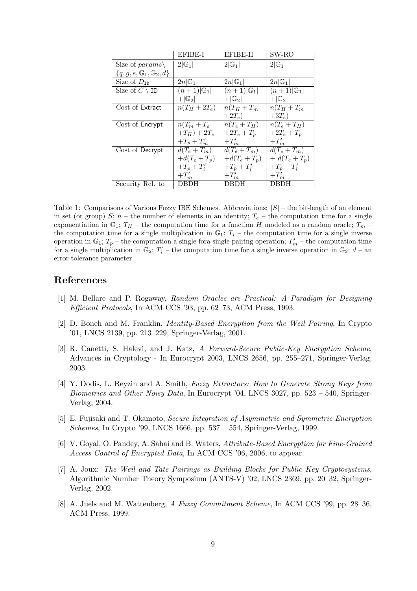|                                            | EFIBE-I               | EFIBE-II              | $SW-RO$               |
|--------------------------------------------|-----------------------|-----------------------|-----------------------|
| Size of params\                            | $2 \mathbb{G}_1 $     | $2 \mathbb{G}_1 $     | $2 \mathbb{G}_1 $     |
| ${q, g, e, \mathbb{G}_1, \mathbb{G}_2, d}$ |                       |                       |                       |
| Size of $D_{ID}$                           | $2n G_1 $             | $2n G_1 $             | $2n G_1 $             |
| Size of $C \setminus \texttt{ID}$          | $(n+1) \mathbb{G}_1 $ | $(n+1) \mathbb{G}_1 $ | $(n+1) \mathbb{G}_1 $ |
|                                            | $+ G_2 $              | $+ G_2 $              | $+ G_2 $              |
| Cost of Extract                            | $n(T_H+2T_e)$         | $n(T_H+T_m)$          | $n(T_H+T_m)$          |
|                                            |                       | $+2T_e$ )             | $+3T_e$ )             |
| Cost of Encrypt                            | $n(T_m + T_e)$        | $n(T_e+T_H)$          | $n(T_e+T_H)$          |
|                                            | $+T_H) + 2T_e$        | $+2T_e + T_p$         | $+2T_e + T_p$         |
|                                            | $+T_p+T'_m$           | $+T_m'$               | $+T_m'$               |
| Cost of Decrypt                            | $d(T_e+T_m)$          | $d(T_e+T_m)$          | $d(T_e+T_m)$          |
|                                            | $+ d(T_e + T_p)$      | $+d(T_e+T_p)$         | $+ d(T_e + T_p)$      |
|                                            | $+T_p+T_i'$           | $+T_p+T'_i$           | $+T_p+T_i'$           |
|                                            | $+T_m'$               | $+T_m'$               | $+T_m'$               |
| Security Rel. to                           | DBDH                  | DBDH                  | DBDH                  |

Table 1: Comparisons of Various Fuzzy IBE Schemes. Abbreviations:  $|S|$  – the bit-length of an element in set (or group) S;  $n-$  the number of elements in an identity;  $T_e$  – the computation time for a single exponentiation in  $\mathbb{G}_1$ ;  $T_H$  – the computation time for a function H modeled as a random oracle;  $T_m$  – the computation time for a single multiplication in  $\mathbb{G}_1$ ;  $T_i$  – the computation time for a single inverse operation in  $\mathbb{G}_1$ ;  $T_p$  – the computation a single fora single pairing operation;  $T'_m$  – the computation time for a single multiplication in  $\mathbb{G}_2$ ;  $T'_i$  – the computation time for a single inverse operation in  $\mathbb{G}_2$ ;  $d$  – an error tolerance parameter

## References

- [1] M. Bellare and P. Rogaway, Random Oracles are Practical: A Paradigm for Designing Efficient Protocols, In ACM CCS '93, pp. 62–73, ACM Press, 1993.
- [2] D. Boneh and M. Franklin, Identity-Based Encryption from the Weil Pairing, In Crypto '01, LNCS 2139, pp. 213–229, Springer-Verlag, 2001.
- [3] R. Canetti, S. Halevi, and J. Katz, A Forward-Secure Public-Key Encryption Scheme, Advances in Cryptology - In Eurocrypt 2003, LNCS 2656, pp. 255–271, Springer-Verlag, 2003.
- [4] Y. Dodis, L. Reyzin and A. Smith, Fuzzy Extractors: How to Generate Strong Keys from Biometrics and Other Noisy Data, In Eurocrypt '04, LNCS 3027, pp. 523 – 540, Springer-Verlag, 2004.
- [5] E. Fujisaki and T. Okamoto, Secure Integration of Asymmetric and Symmetric Encryption Schemes, In Crypto '99, LNCS 1666, pp. 537 – 554, Springer-Verlag, 1999.
- [6] V. Goyal, O. Pandey, A. Sahai and B. Waters, Attribute-Based Encryption for Fine-Grained Access Control of Encrypted Data, In ACM CCS '06, 2006, to appear.
- [7] A. Joux: The Weil and Tate Pairings as Building Blocks for Public Key Cryptosystems, Algorithmic Number Theory Symposium (ANTS-V) '02, LNCS 2369, pp. 20–32, Springer-Verlag, 2002.
- [8] A. Juels and M. Wattenberg, A Fuzzy Commitment Scheme, In ACM CCS '99, pp. 28–36, ACM Press, 1999.